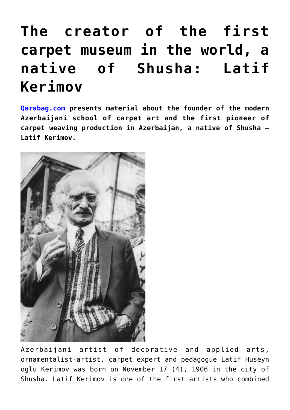## **[The creator of the first](https://qarabag.com/the-creator-of-the-first-carpet-museum-in-the-world-a-native-of-shusha-latif-kerimov/) [carpet museum in the world, a](https://qarabag.com/the-creator-of-the-first-carpet-museum-in-the-world-a-native-of-shusha-latif-kerimov/) [native of Shusha: Latif](https://qarabag.com/the-creator-of-the-first-carpet-museum-in-the-world-a-native-of-shusha-latif-kerimov/) [Kerimov](https://qarabag.com/the-creator-of-the-first-carpet-museum-in-the-world-a-native-of-shusha-latif-kerimov/)**

**[Qarabag.com](https://qarabag.com/home-ru/) presents material about the founder of the modern Azerbaijani school of carpet art and the first pioneer of carpet weaving production in Azerbaijan, a native of Shusha – Latif Kerimov.**



Azerbaijani artist of decorative and applied arts, ornamentalist-artist, carpet expert and pedagogue Latif Huseyn oglu Kerimov was born on November 17 (4), 1906 in the city of Shusha. Latif Kerimov is one of the first artists who combined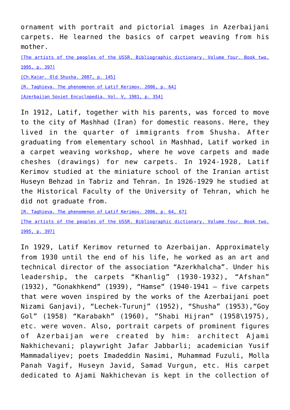ornament with portrait and pictorial images in Azerbaijani carpets. He learned the basics of carpet weaving from his mother.

[\[The artists of the peoples of the USSR. Bibliographic dictionary. Volume four. Book two.](https://qarabag.com/wp-content/uploads/2022/05/Библиографический-словарь.pdf) [1995, p. 397\]](https://qarabag.com/wp-content/uploads/2022/05/Библиографический-словарь.pdf)

[\[Ch.Kajar. Old Shusha. 2007, p. 145\]](https://qarabag.com/wp-content/uploads/2022/05/Чингиз-Каджар-Старая-Шуша-1.pdf)

[\[R. Taghieva. The phenomenon of Latif Kerimov. 2006, p. 64\]](https://qarabag.com/wp-content/uploads/2022/05/Тагиева-Ройа.pdf)

[\[Azerbaijan Soviet Encyclopedia. Vol. V, 1981, p. 354\]](https://qarabag.com/wp-content/uploads/2022/05/sovet-ensiklopediasi.pdf)

In 1912, Latif, together with his parents, was forced to move to the city of Mashhad (Iran) for domestic reasons. Here, they lived in the quarter of immigrants from Shusha. After graduating from elementary school in Mashhad, Latif worked in a carpet weaving workshop, where he wove carpets and made cheshes (drawings) for new carpets. In 1924-1928, Latif Kerimov studied at the miniature school of the Iranian artist Huseyn Behzad in Tabriz and Tehran. In 1926-1929 he studied at the Historical Faculty of the University of Tehran, which he did not graduate from.

[\[R. Taghieva. The phenomenon of Latif Kerimov. 2006, p. 64, 67\]](https://qarabag.com/wp-content/uploads/2022/05/Тагиева-Ройа.pdf)

[\[The artists of the peoples of the USSR. Bibliographic dictionary. Volume four. Book two.](https://qarabag.com/wp-content/uploads/2022/05/Библиографический-словарь.pdf) [1995, p. 397\]](https://qarabag.com/wp-content/uploads/2022/05/Библиографический-словарь.pdf)

In 1929, Latif Kerimov returned to Azerbaijan. Approximately from 1930 until the end of his life, he worked as an art and technical director of the association "Azerkhalcha". Under his leadership, the carpets "Khanlig" (1930-1932), "Afshan" (1932), "Gonakhkend" (1939), "Hamse" (1940-1941 – five carpets that were woven inspired by the works of the Azerbaijani poet Nizami Ganjavi), "Lechek-Turunj" (1952), "Shusha" (1953),"Goy Gol" (1958) "Karabakh" (1960), "Shabi Hijran" (1958\1975), etc. were woven. Also, portrait carpets of prominent figures of Azerbaijan were created by him: architect Ajami Nakhichevani; playwright Jafar Jabbarli; academician Yusif Mammadaliyev; poets Imadeddin Nasimi, Muhammad Fuzuli, Molla Panah Vagif, Huseyn Javid, Samad Vurgun, etc. His carpet dedicated to Ajami Nakhichevan is kept in the collection of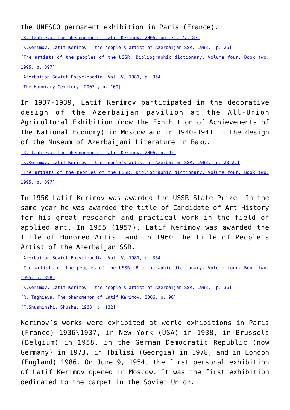the UNESCO permanent exhibition in Paris (France).

[\[R. Taghieva. The phenomenon of Latif Kerimov. 2006, pp. 71, 77, 87\]](https://qarabag.com/wp-content/uploads/2022/05/Тагиева-Ройа.pdf)

[\[K.Kerimov. Latif Kerimov – the people's artist of Azerbaijan SSR. 1983., p. 26\]](https://qarabag.com/wp-content/uploads/2022/05/Latif-Kerimov.pdf)

[\[The artists of the peoples of the USSR. Bibliographic dictionary. Volume four. Book two.](https://qarabag.com/wp-content/uploads/2022/05/Библиографический-словарь.pdf) [1995, p. 397\]](https://qarabag.com/wp-content/uploads/2022/05/Библиографический-словарь.pdf)

[\[Azerbaijan Soviet Encyclopedia. Vol. V, 1981, p. 354\]](https://qarabag.com/wp-content/uploads/2022/05/sovet-ensiklopediasi.pdf)

[\[The Honorary Cemetery. 2007., p. 109\]](https://qarabag.com/wp-content/uploads/2022/05/honorary-cemetery.pdf)

In 1937-1939, Latif Kerimov participated in the decorative design of the Azerbaijan pavilion at the All-Union Agricultural Exhibition (now the Exhibition of Achievements of the National Economy) in Moscow and in 1940-1941 in the design of the Museum of Azerbaijani Literature in Baku.

[\[R. Taghieva. The phenomenon of Latif Kerimov. 2006, p. 92\]](https://qarabag.com/wp-content/uploads/2022/05/Тагиева-Ройа.pdf)

[\[K.Kerimov. Latif Kerimov – the people's artist of Azerbaijan SSR. 1983., p. 20-21\]](https://qarabag.com/wp-content/uploads/2022/05/Latif-Kerimov.pdf)

[\[The artists of the peoples of the USSR. Bibliographic dictionary. Volume four. Book two.](https://qarabag.com/wp-content/uploads/2022/05/Библиографический-словарь.pdf) [1995, p. 397\]](https://qarabag.com/wp-content/uploads/2022/05/Библиографический-словарь.pdf)

In 1950 Latif Kerimov was awarded the USSR State Prize. In the same year he was awarded the title of Candidate of Art History for his great research and practical work in the field of applied art. In 1955 (1957), Latif Kerimov was awarded the title of Honored Artist and in 1960 the title of People's Artist of the Azerbaijan SSR.

[\[Azerbaijan Soviet Encyclopedia. Vol. V, 1981, p. 354\]](https://qarabag.com/wp-content/uploads/2022/05/sovet-ensiklopediasi.pdf)

[\[The artists of the peoples of the USSR. Bibliographic dictionary. Volume four. Book two.](https://qarabag.com/wp-content/uploads/2022/05/Библиографический-словарь.pdf) [1995, p. 398\]](https://qarabag.com/wp-content/uploads/2022/05/Библиографический-словарь.pdf)

[\[K.Kerimov. Latif Kerimov – the people's artist of Azerbaijan SSR. 1983., p. 36\]](https://qarabag.com/wp-content/uploads/2022/05/Latif-Kerimov.pdf)

[\[R. Taghieva. The phenomenon of Latif Kerimov. 2006, p. 96\]](https://qarabag.com/wp-content/uploads/2022/05/Тагиева-Ройа.pdf)

[\[F.Shushinski. Shusha. 1968, p. 132\]](https://qarabag.com/wp-content/uploads/2022/05/Фирудин-Шушинский-Шуша-1.pdf)

Kerimov's works were exhibited at world exhibitions in Paris (France) 1936\1937, in New York (USA) in 1938, in Brussels (Belgium) in 1958, in the German Democratic Republic (now Germany) in 1973, in Tbilisi (Georgia) in 1978, and in London (England) 1986. On June 9, 1954, the first personal exhibition of Latif Kerimov opened in Moscow. It was the first exhibition dedicated to the carpet in the Soviet Union.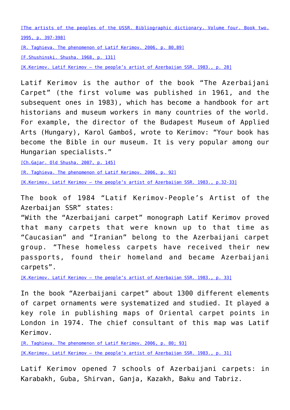[\[The artists of the peoples of the USSR. Bibliographic dictionary. Volume four. Book two.](https://qarabag.com/wp-content/uploads/2022/05/Библиографический-словарь.pdf) [1995, p. 397-398\]](https://qarabag.com/wp-content/uploads/2022/05/Библиографический-словарь.pdf)

[\[R. Taghieva. The phenomenon of Latif Kerimov. 2006, p. 80,89\]](https://qarabag.com/wp-content/uploads/2022/05/Тагиева-Ройа.pdf)

[\[F.Shushinski. Shusha. 1968, p. 131\]](https://qarabag.com/wp-content/uploads/2022/05/Фирудин-Шушинский-Шуша-1.pdf)

[K.Kerimov. Latif Kerimov - the people's artist of Azerbaijan SSR. 1983., p. 28]

Latif Kerimov is the author of the book "The Azerbaijani Carpet" (the first volume was published in 1961, and the subsequent ones in 1983), which has become a handbook for art historians and museum workers in many countries of the world. For example, the director of the Budapest Museum of Applied Arts (Hungary), Karol Gamboš, wrote to Kerimov: "Your book has become the Bible in our museum. It is very popular among our Hungarian specialists."

[\[Ch.Gajar. Old Shusha. 2007, p. 145\]](https://qarabag.com/wp-content/uploads/2022/05/Чингиз-Каджар-Старая-Шуша-1.pdf)

[\[R. Taghieva. The phenomenon of Latif Kerimov. 2006, p. 92\]](https://qarabag.com/wp-content/uploads/2022/05/Тагиева-Ройа.pdf)

[\[K.Kerimov. Latif Kerimov – the people's artist of Azerbaijan SSR. 1983., p.32-33\]](https://qarabag.com/wp-content/uploads/2022/05/Latif-Kerimov.pdf)

The book of 1984 "Latif Kerimov-People's Artist of the Azerbaijan SSR" states:

"With the "Azerbaijani carpet" monograph Latif Kerimov proved that many carpets that were known up to that time as "Caucasian" and "Iranian" belong to the Azerbaijani carpet group. "These homeless carpets have received their new passports, found their homeland and became Azerbaijani carpets".

[\[K.Kerimov. Latif Kerimov – the people's artist of Azerbaijan SSR. 1983., p. 33\]](https://qarabag.com/wp-content/uploads/2022/05/Latif-Kerimov.pdf)

In the book "Azerbaijani carpet" about 1300 different elements of carpet ornaments were systematized and studied. It played a key role in publishing maps of Oriental carpet points in London in 1974. The chief consultant of this map was Latif Kerimov.

[\[R. Taghieva. The phenomenon of Latif Kerimov. 2006, p. 80; 93\]](https://qarabag.com/wp-content/uploads/2022/05/Тагиева-Ройа.pdf)

[K.Kerimov. Latif Kerimov - the people's artist of Azerbaijan SSR. 1983., p. 31]

Latif Kerimov opened 7 schools of Azerbaijani carpets: in Karabakh, Guba, Shirvan, Ganja, Kazakh, Baku and Tabriz.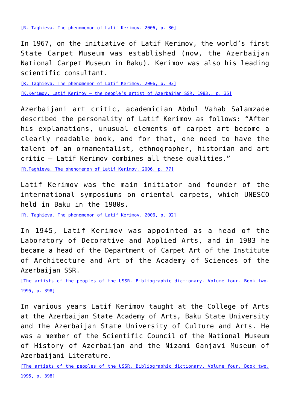In 1967, on the initiative of Latif Kerimov, the world's first State Carpet Museum was established (now, the Azerbaijan National Carpet Museum in Baku). Kerimov was also his leading scientific consultant.

[\[R. Taghieva. The phenomenon of Latif Kerimov. 2006, p. 93\]](https://qarabag.com/wp-content/uploads/2022/05/Тагиева-Ройа.pdf)

[\[K.Kerimov. Latif Kerimov – the people's artist of Azerbaijan SSR. 1983., p. 35\]](https://qarabag.com/wp-content/uploads/2022/05/Latif-Kerimov.pdf)

Azerbaijani art critic, academician Abdul Vahab Salamzade described the personality of Latif Kerimov as follows: "After his explanations, unusual elements of carpet art become a clearly readable book, and for that, one need to have the talent of an ornamentalist, ethnographer, historian and art critic – Latif Kerimov combines all these qualities."

[\[R.Taghieva. The phenomenon of Latif Kerimov. 2006, p. 77\]](https://qarabag.com/wp-content/uploads/2022/05/Тагиева-Ройа.pdf)

Latif Kerimov was the main initiator and founder of the international symposiums on oriental carpets, which UNESCO held in Baku in the 1980s.

[\[R. Taghieva. The phenomenon of Latif Kerimov. 2006, p. 92\]](https://qarabag.com/wp-content/uploads/2022/05/Тагиева-Ройа.pdf)

In 1945, Latif Kerimov was appointed as a head of the Laboratory of Decorative and Applied Arts, and in 1983 he became a head of the Department of Carpet Art of the Institute of Architecture and Art of the Academy of Sciences of the Azerbaijan SSR.

[\[The artists of the peoples of the USSR. Bibliographic dictionary. Volume four. Book two.](https://qarabag.com/wp-content/uploads/2022/05/Библиографический-словарь.pdf) [1995, p. 398\]](https://qarabag.com/wp-content/uploads/2022/05/Библиографический-словарь.pdf)

In various years Latif Kerimov taught at the College of Arts at the Azerbaijan State Academy of Arts, Baku State University and the Azerbaijan State University of Culture and Arts. He was a member of the Scientific Council of the National Museum of History of Azerbaijan and the Nizami Ganjavi Museum of Azerbaijani Literature.

[\[The artists of the peoples of the USSR. Bibliographic dictionary. Volume four. Book two.](https://qarabag.com/wp-content/uploads/2022/05/Библиографический-словарь.pdf) [1995, p. 398\]](https://qarabag.com/wp-content/uploads/2022/05/Библиографический-словарь.pdf)